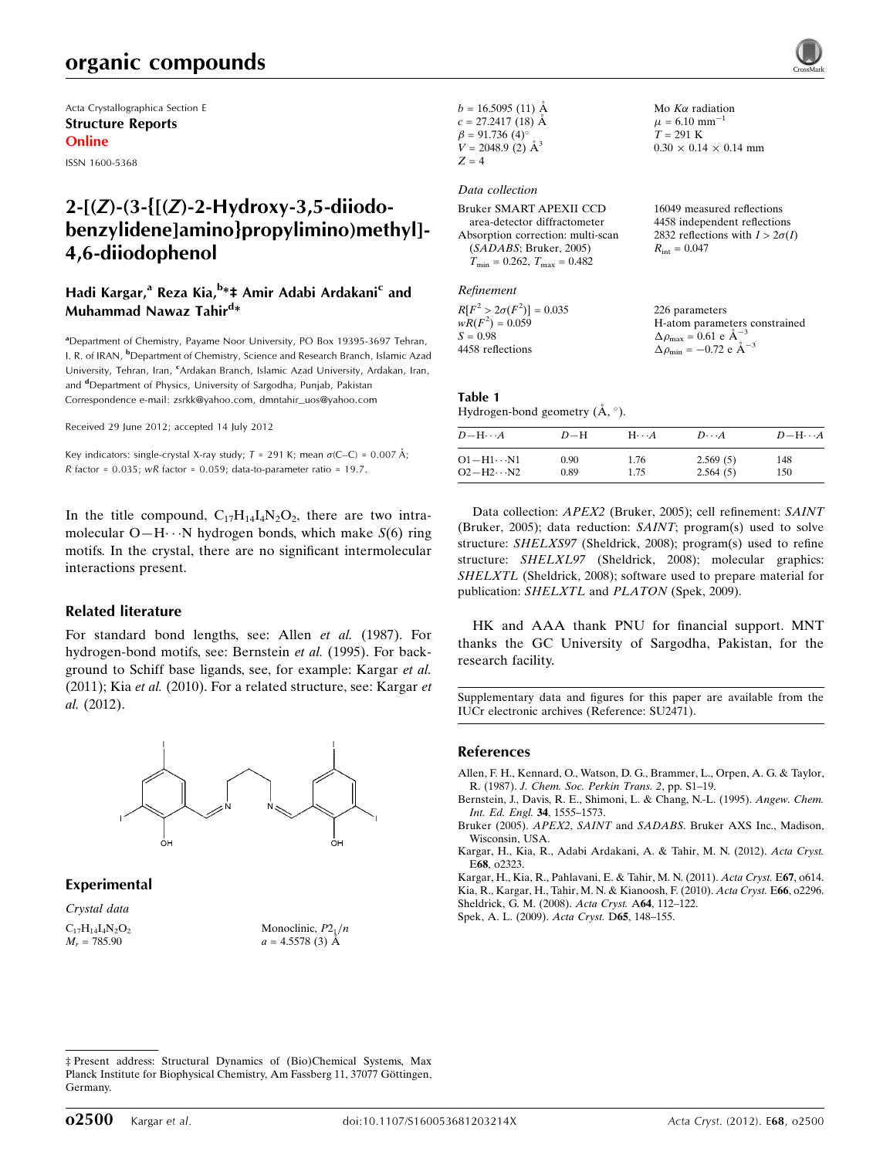## organic compounds

Acta Crystallographica Section E Structure Reports Online

ISSN 1600-5368

## 2-[(Z)-(3-{[(Z)-2-Hydroxy-3,5-diiodobenzylidene]amino}propylimino)methyl]- 4,6-diiodophenol

#### Hadi Kargar,<sup>a</sup> Reza Kia,<sup>b</sup>\*‡ Amir Adabi Ardakani<sup>c</sup> and Muhammad Nawaz Tahir<sup>d</sup>\*

<sup>a</sup>Department of Chemistry, Payame Noor University, PO Box 19395-3697 Tehran, I. R. of IRAN, <sup>b</sup>Department of Chemistry, Science and Research Branch, Islamic Azad University, Tehran, Iran, <sup>c</sup>Ardakan Branch, Islamic Azad University, Ardakan, Iran, and <sup>d</sup>Department of Physics, University of Sargodha, Punjab, Pakistan Correspondence e-mail: [zsrkk@yahoo.com](http://scripts.iucr.org/cgi-bin/cr.cgi?rm=pdfbb&cnor=su2471&bbid=BB8), [dmntahir\\_uos@yahoo.com](http://scripts.iucr.org/cgi-bin/cr.cgi?rm=pdfbb&cnor=su2471&bbid=BB8)

Received 29 June 2012; accepted 14 July 2012

Key indicators: single-crystal X-ray study;  $T = 291$  K; mean  $\sigma$ (C–C) = 0.007 Å;  $R$  factor = 0.035;  $wR$  factor = 0.059; data-to-parameter ratio = 19.7.

In the title compound,  $C_{17}H_{14}I_4N_2O_2$ , there are two intramolecular  $O-H \cdot \cdot N$  hydrogen bonds, which make  $S(6)$  ring motifs. In the crystal, there are no significant intermolecular interactions present.

#### Related literature

For standard bond lengths, see: Allen et al. (1987). For hydrogen-bond motifs, see: Bernstein et al. (1995). For background to Schiff base ligands, see, for example: Kargar et al. (2011); Kia et al. (2010). For a related structure, see: Kargar et al. (2012).



Experimental

Crystal data  $C_{17}H_{14}I_4N_2O_2$  $M_r = 785.90$ 

Monoclinic,  $P2_1/n$  $a = 4.5578(3)$  Å

| $b = 16.5095(11)$ Å      |  |
|--------------------------|--|
| $c = 27.2417(18)$ Å      |  |
| $\beta = 91.736(4)$ °    |  |
| $V = 2048.9$ (2) $\AA^3$ |  |
| $Z = 4$                  |  |

Data collection

| Bruker SMART APEXII CCD                             | 16049 measured reflections             |
|-----------------------------------------------------|----------------------------------------|
| area-detector diffractometer                        | 4458 independent reflections           |
| Absorption correction: multi-scan                   | 2832 reflections with $I > 2\sigma(I)$ |
| (SADABS; Bruker, 2005)                              | $R_{\rm int} = 0.047$                  |
| $T_{\text{min}} = 0.262$ , $T_{\text{max}} = 0.482$ |                                        |
|                                                     |                                        |

Refinement

 $R[F^2 > 2\sigma(F^2)] = 0.035$ <br>  $wR(F^2) = 0.059$  $S = 0.98$ 4458 reflections 226 parameters H-atom parameters constrained  $\Delta \rho_{\text{max}} = 0.61 \text{ e A}^{-3}$  $\Delta \rho_{\rm min} = -0.72 \text{ e } \text{\AA}^{-3}$ 

Mo  $K\alpha$  radiation  $\mu = 6.10$  mm<sup>-1</sup>  $T = 291$  K

 $0.30 \times 0.14 \times 0.14$  mm

#### Table 1 Hydrogen-bond geometry  $(\mathring{A}, \degree)$ .

| $D - H \cdots A$    | $D-H$ | $H \cdot \cdot \cdot A$ | $D\cdots A$ | $D$ -H $\cdots$ A |
|---------------------|-------|-------------------------|-------------|-------------------|
| O1−H1…N1            | 0.90  | 1.76                    | 2.569(5)    | 148               |
| $O2 - H2 \cdots N2$ | 0.89  | 1.75                    | 2.564(5)    | 150               |

Data collection: APEX2 (Bruker, 2005); cell refinement: SAINT (Bruker, 2005); data reduction: SAINT; program(s) used to solve structure: SHELXS97 (Sheldrick, 2008); program(s) used to refine structure: SHELXL97 (Sheldrick, 2008); molecular graphics: SHELXTL (Sheldrick, 2008); software used to prepare material for publication: SHELXTL and PLATON (Spek, 2009).

HK and AAA thank PNU for financial support. MNT thanks the GC University of Sargodha, Pakistan, for the research facility.

Supplementary data and figures for this paper are available from the IUCr electronic archives (Reference: SU2471).

#### References

[Allen, F. H., Kennard, O., Watson, D. G., Brammer, L., Orpen, A. G. & Taylor,](http://scripts.iucr.org/cgi-bin/cr.cgi?rm=pdfbb&cnor=su2471&bbid=BB1) R. (1987). [J. Chem. Soc. Perkin Trans. 2](http://scripts.iucr.org/cgi-bin/cr.cgi?rm=pdfbb&cnor=su2471&bbid=BB1), pp. S1–19.

[Bernstein, J., Davis, R. E., Shimoni, L. & Chang, N.-L. \(1995\).](http://scripts.iucr.org/cgi-bin/cr.cgi?rm=pdfbb&cnor=su2471&bbid=BB2) Angew. Chem. [Int. Ed. Engl.](http://scripts.iucr.org/cgi-bin/cr.cgi?rm=pdfbb&cnor=su2471&bbid=BB2) 34, 1555–1573.

Bruker (2005). APEX2, SAINT and SADABS[. Bruker AXS Inc., Madison,](http://scripts.iucr.org/cgi-bin/cr.cgi?rm=pdfbb&cnor=su2471&bbid=BB3) [Wisconsin, USA.](http://scripts.iucr.org/cgi-bin/cr.cgi?rm=pdfbb&cnor=su2471&bbid=BB3)

[Kargar, H., Kia, R., Adabi Ardakani, A. & Tahir, M. N. \(2012\).](http://scripts.iucr.org/cgi-bin/cr.cgi?rm=pdfbb&cnor=su2471&bbid=BB4) Acta Cryst. E68[, o2323.](http://scripts.iucr.org/cgi-bin/cr.cgi?rm=pdfbb&cnor=su2471&bbid=BB4)

[Kargar, H., Kia, R., Pahlavani, E. & Tahir, M. N. \(2011\).](http://scripts.iucr.org/cgi-bin/cr.cgi?rm=pdfbb&cnor=su2471&bbid=BB5) Acta Cryst. E67, o614. [Kia, R., Kargar, H., Tahir, M. N. & Kianoosh, F. \(2010\).](http://scripts.iucr.org/cgi-bin/cr.cgi?rm=pdfbb&cnor=su2471&bbid=BB6) Acta Cryst. E66, o2296. [Sheldrick, G. M. \(2008\).](http://scripts.iucr.org/cgi-bin/cr.cgi?rm=pdfbb&cnor=su2471&bbid=BB7) Acta Cryst. A64, 112–122.

[Spek, A. L. \(2009\).](http://scripts.iucr.org/cgi-bin/cr.cgi?rm=pdfbb&cnor=su2471&bbid=BB8) Acta Cryst. D65, 148–155.

<sup>‡</sup> Present address: Structural Dynamics of (Bio)Chemical Systems, Max Planck Institute for Biophysical Chemistry, Am Fassberg 11, 37077 Göttingen, Germany.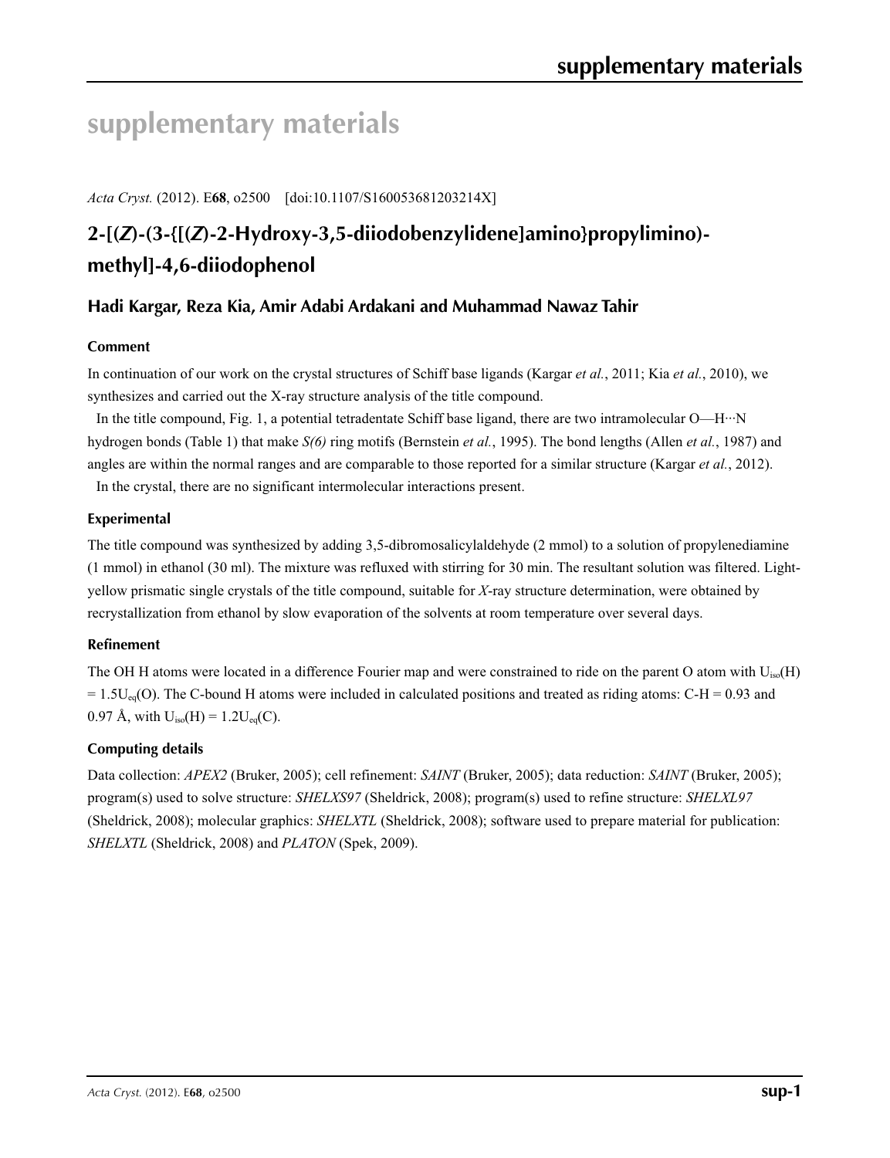# **supplementary materials**

*Acta Cryst.* (2012). E**68**, o2500 [doi:10.1107/S160053681203214X]

# **2-[(***Z***)-(3-{[(***Z***)-2-Hydroxy-3,5-diiodobenzylidene]amino}propylimino) methyl]-4,6-diiodophenol**

### **Hadi Kargar, Reza Kia, Amir Adabi Ardakani and Muhammad Nawaz Tahir**

### **Comment**

In continuation of our work on the crystal structures of Schiff base ligands (Kargar *et al.*, 2011; Kia *et al.*, 2010), we synthesizes and carried out the X-ray structure analysis of the title compound.

In the title compound, Fig. 1, a potential tetradentate Schiff base ligand, there are two intramolecular O—H···N hydrogen bonds (Table 1) that make *S(6)* ring motifs (Bernstein *et al.*, 1995). The bond lengths (Allen *et al.*, 1987) and angles are within the normal ranges and are comparable to those reported for a similar structure (Kargar *et al.*, 2012). In the crystal, there are no significant intermolecular interactions present.

#### **Experimental**

The title compound was synthesized by adding 3,5-dibromosalicylaldehyde (2 mmol) to a solution of propylenediamine (1 mmol) in ethanol (30 ml). The mixture was refluxed with stirring for 30 min. The resultant solution was filtered. Lightyellow prismatic single crystals of the title compound, suitable for *X*-ray structure determination, were obtained by recrystallization from ethanol by slow evaporation of the solvents at room temperature over several days.

#### **Refinement**

The OH H atoms were located in a difference Fourier map and were constrained to ride on the parent O atom with U<sub>iso</sub>(H)  $= 1.5$ U<sub>eq</sub>(O). The C-bound H atoms were included in calculated positions and treated as riding atoms: C-H = 0.93 and 0.97 Å, with  $U_{iso}(H) = 1.2U_{eq}(C)$ .

#### **Computing details**

Data collection: *APEX2* (Bruker, 2005); cell refinement: *SAINT* (Bruker, 2005); data reduction: *SAINT* (Bruker, 2005); program(s) used to solve structure: *SHELXS97* (Sheldrick, 2008); program(s) used to refine structure: *SHELXL97* (Sheldrick, 2008); molecular graphics: *SHELXTL* (Sheldrick, 2008); software used to prepare material for publication: *SHELXTL* (Sheldrick, 2008) and *PLATON* (Spek, 2009).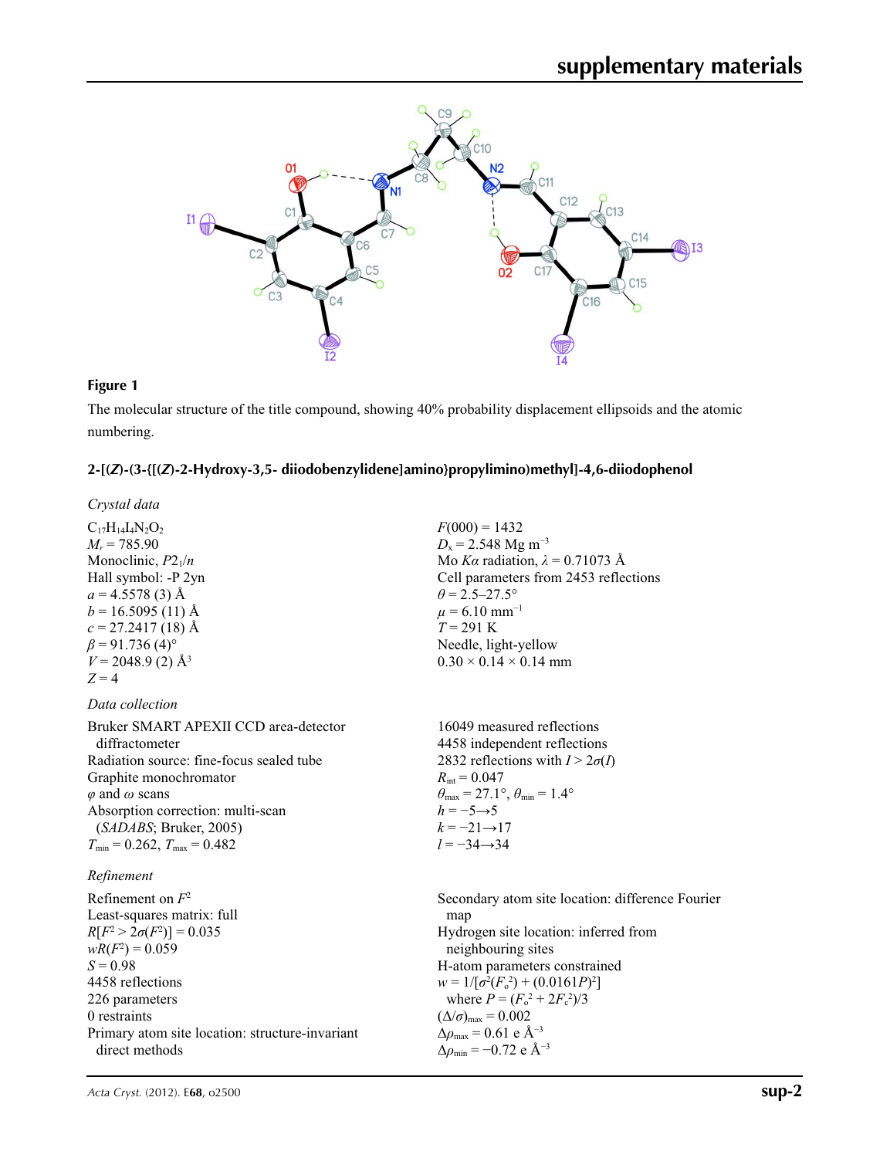

#### **Figure 1**

The molecular structure of the title compound, showing 40% probability displacement ellipsoids and the atomic numbering.

#### **2-[(***Z***)-(3-{[(***Z***)-2-Hydroxy-3,5- diiodobenzylidene]amino}propylimino)methyl]-4,6-diiodophenol**

*Crystal data*

 $C_{17}H_{14}I_4N_2O_2$  $M_r = 785.90$ Monoclinic,  $P2_1/n$ Hall symbol: -P 2yn  $a = 4.5578(3)$  Å  $b = 16.5095(11)$  Å  $c = 27.2417(18)$  Å  $\beta$  = 91.736 (4)<sup>o</sup>  $V = 2048.9$  (2)  $\AA$ <sup>3</sup>  $Z = 4$ 

#### *Data collection*

Bruker SMART APEXII CCD area-detector diffractometer Radiation source: fine-focus sealed tube Graphite monochromator *φ* and *ω* scans Absorption correction: multi-scan (*SADABS*; Bruker, 2005)  $T_{\text{min}} = 0.262$ ,  $T_{\text{max}} = 0.482$ 

#### *Refinement*

Refinement on *F*<sup>2</sup> Least-squares matrix: full *R*[ $F^2 > 2\sigma(F^2)$ ] = 0.035  $wR(F^2) = 0.059$  $S = 0.98$ 4458 reflections 226 parameters 0 restraints Primary atom site location: structure-invariant direct methods

 $F(000) = 1432$  $D_x = 2.548$  Mg m<sup>-3</sup> Mo *Kα* radiation,  $\lambda = 0.71073$  Å Cell parameters from 2453 reflections  $\theta$  = 2.5–27.5°  $\mu$  = 6.10 mm<sup>-1</sup> *T* = 291 K Needle, light-yellow  $0.30 \times 0.14 \times 0.14$  mm

16049 measured reflections 4458 independent reflections 2832 reflections with  $I > 2\sigma(I)$  $R_{\text{int}} = 0.047$  $\theta_{\text{max}} = 27.1^{\circ}, \theta_{\text{min}} = 1.4^{\circ}$  $h = -5 \rightarrow 5$  $k = -21 \rightarrow 17$ *l* = −34→34

Secondary atom site location: difference Fourier map Hydrogen site location: inferred from neighbouring sites H-atom parameters constrained  $w = 1/[\sigma^2 (F_o^2) + (0.0161P)^2]$ where  $P = (F_o^2 + 2F_c^2)/3$  $(\Delta/\sigma)_{\text{max}} = 0.002$  $Δρ<sub>max</sub> = 0.61 e Å<sup>-3</sup>$ Δ*ρ*min = −0.72 e Å−3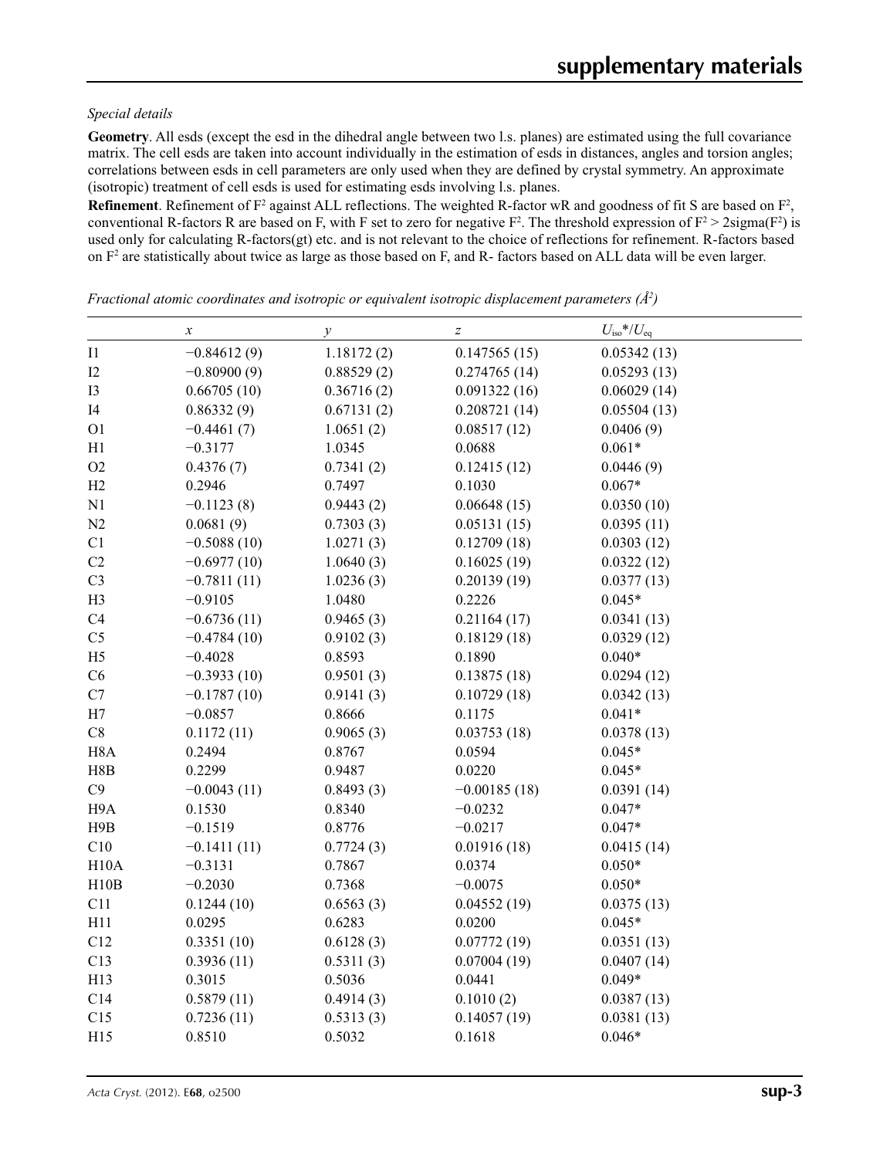#### *Special details*

**Geometry**. All esds (except the esd in the dihedral angle between two l.s. planes) are estimated using the full covariance matrix. The cell esds are taken into account individually in the estimation of esds in distances, angles and torsion angles; correlations between esds in cell parameters are only used when they are defined by crystal symmetry. An approximate (isotropic) treatment of cell esds is used for estimating esds involving l.s. planes.

**Refinement**. Refinement of  $F^2$  against ALL reflections. The weighted R-factor wR and goodness of fit S are based on  $F^2$ , conventional R-factors R are based on F, with F set to zero for negative  $F^2$ . The threshold expression of  $F^2 > 2 \text{sigma}(F^2)$  is used only for calculating R-factors(gt) etc. and is not relevant to the choice of reflections for refinement. R-factors based on  $F<sup>2</sup>$  are statistically about twice as large as those based on F, and R- factors based on ALL data will be even larger.

*x*  $\qquad \qquad y$   $\qquad \qquad z$   $U_{\text{iso}}^{*}/U_{\text{eq}}$  $11 -0.84612(9)$  1.18172 (2) 0.147565 (15) 0.05342 (13)  $12 -0.80900(9)$  0.88529 (2) 0.274765 (14) 0.05293 (13) I3 0.66705 (10) 0.36716 (2) 0.091322 (16) 0.06029 (14) I4 0.86332 (9) 0.67131 (2) 0.208721 (14) 0.05504 (13) O1  $-0.4461(7)$   $1.0651(2)$   $0.08517(12)$   $0.0406(9)$ H1  $-0.3177$  1.0345 0.0688 0.061\* O2  $0.4376(7)$   $0.7341(2)$   $0.12415(12)$   $0.0446(9)$ H2 0.2946 0.7497 0.1030 0.067\* N1 −0.1123 (8) 0.9443 (2) 0.06648 (15) 0.0350 (10) N2 0.0681 (9) 0.7303 (3) 0.05131 (15) 0.0395 (11) C1  $-0.5088(10)$   $1.0271(3)$   $0.12709(18)$   $0.0303(12)$ C2  $-0.6977(10)$   $1.0640(3)$   $0.16025(19)$   $0.0322(12)$ C3  $-0.7811 (11)$   $1.0236 (3)$   $0.20139 (19)$   $0.0377 (13)$ H3 −0.9105 1.0480 0.2226 0.045\* C4  $-0.6736 (11)$   $0.9465 (3)$   $0.21164 (17)$   $0.0341 (13)$  $C5$   $-0.4784(10)$   $0.9102(3)$   $0.18129(18)$   $0.0329(12)$ H5 −0.4028 0.8593 0.1890 0.040\*  $C6$   $-0.3933(10)$   $0.9501(3)$   $0.13875(18)$   $0.0294(12)$ C7  $-0.1787(10)$   $0.9141(3)$   $0.10729(18)$   $0.0342(13)$ H7  $-0.0857$  0.8666 0.1175 0.041\* C8 0.1172 (11) 0.9065 (3) 0.03753 (18) 0.0378 (13) H8A 0.2494 0.8767 0.0594 0.045\* H8B 0.2299 0.9487 0.0220 0.045\* C9  $-0.0043 \,(11)$   $0.8493 \,(3)$   $-0.00185 \,(18)$   $0.0391 \,(14)$ H9A 0.1530 0.8340 −0.0232 0.047\* H9B −0.1519 0.8776 −0.0217 0.047\* C10  $-0.1411(11)$   $0.7724(3)$   $0.01916(18)$   $0.0415(14)$ H10A  $-0.3131$  0.7867 0.0374 0.050\* H10B  $-0.2030$  0.7368  $-0.0075$  0.050\* C11 0.1244 (10) 0.6563 (3) 0.04552 (19) 0.0375 (13) H11 0.0295 0.6283 0.0200 0.045\* C12 0.3351 (10) 0.6128 (3) 0.07772 (19) 0.0351 (13) C13 0.3936 (11) 0.5311 (3) 0.07004 (19) 0.0407 (14) H13 0.3015 0.5036 0.0441 0.049\* C14 0.5879 (11) 0.4914 (3) 0.1010 (2) 0.0387 (13) C15 0.7236 (11) 0.5313 (3) 0.14057 (19) 0.0381 (13) H15 0.8510 0.5032 0.1618 0.046\*

*Fractional atomic coordinates and isotropic or equivalent isotropic displacement parameters (Å<sup>2</sup>)*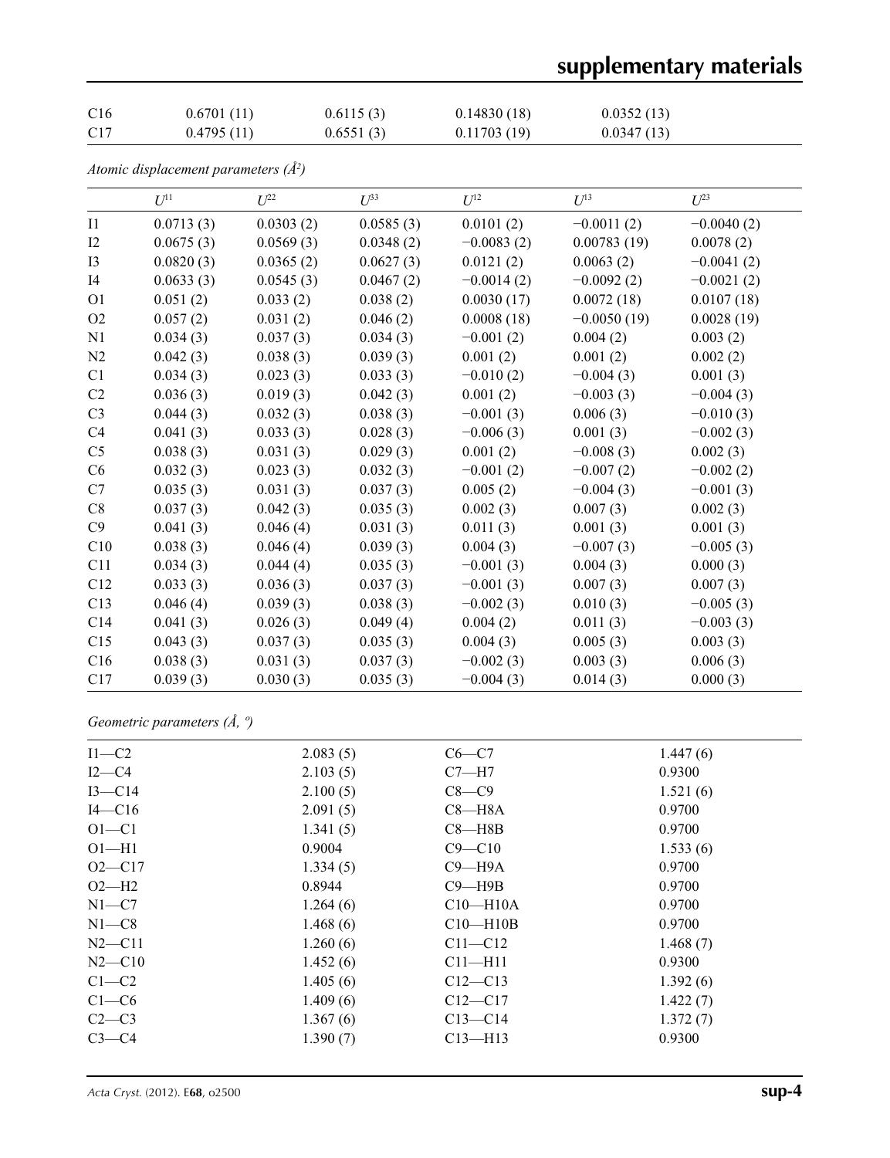# **supplementary materials**

| C <sub>16</sub> | 0.6701(11) | 0.6115(3) | 0.14830(18) | 0.0352(13) |
|-----------------|------------|-----------|-------------|------------|
| C <sub>17</sub> | 0.4795(11) | 0.6551(3) | 0.11703(19) | 0.0347(13) |

*Atomic displacement parameters (Å2 )*

|                | $U^{11}$  | $U^{22}$  | $U^{33}$  | $U^{12}$     | $U^{13}$      | $U^{23}$     |
|----------------|-----------|-----------|-----------|--------------|---------------|--------------|
| I1             | 0.0713(3) | 0.0303(2) | 0.0585(3) | 0.0101(2)    | $-0.0011(2)$  | $-0.0040(2)$ |
| I2             | 0.0675(3) | 0.0569(3) | 0.0348(2) | $-0.0083(2)$ | 0.00783(19)   | 0.0078(2)    |
| I3             | 0.0820(3) | 0.0365(2) | 0.0627(3) | 0.0121(2)    | 0.0063(2)     | $-0.0041(2)$ |
| I4             | 0.0633(3) | 0.0545(3) | 0.0467(2) | $-0.0014(2)$ | $-0.0092(2)$  | $-0.0021(2)$ |
| O <sub>1</sub> | 0.051(2)  | 0.033(2)  | 0.038(2)  | 0.0030(17)   | 0.0072(18)    | 0.0107(18)   |
| O <sub>2</sub> | 0.057(2)  | 0.031(2)  | 0.046(2)  | 0.0008(18)   | $-0.0050(19)$ | 0.0028(19)   |
| N1             | 0.034(3)  | 0.037(3)  | 0.034(3)  | $-0.001(2)$  | 0.004(2)      | 0.003(2)     |
| N2             | 0.042(3)  | 0.038(3)  | 0.039(3)  | 0.001(2)     | 0.001(2)      | 0.002(2)     |
| C1             | 0.034(3)  | 0.023(3)  | 0.033(3)  | $-0.010(2)$  | $-0.004(3)$   | 0.001(3)     |
| C <sub>2</sub> | 0.036(3)  | 0.019(3)  | 0.042(3)  | 0.001(2)     | $-0.003(3)$   | $-0.004(3)$  |
| C <sub>3</sub> | 0.044(3)  | 0.032(3)  | 0.038(3)  | $-0.001(3)$  | 0.006(3)      | $-0.010(3)$  |
| C <sub>4</sub> | 0.041(3)  | 0.033(3)  | 0.028(3)  | $-0.006(3)$  | 0.001(3)      | $-0.002(3)$  |
| C <sub>5</sub> | 0.038(3)  | 0.031(3)  | 0.029(3)  | 0.001(2)     | $-0.008(3)$   | 0.002(3)     |
| C6             | 0.032(3)  | 0.023(3)  | 0.032(3)  | $-0.001(2)$  | $-0.007(2)$   | $-0.002(2)$  |
| C7             | 0.035(3)  | 0.031(3)  | 0.037(3)  | 0.005(2)     | $-0.004(3)$   | $-0.001(3)$  |
| C8             | 0.037(3)  | 0.042(3)  | 0.035(3)  | 0.002(3)     | 0.007(3)      | 0.002(3)     |
| C9             | 0.041(3)  | 0.046(4)  | 0.031(3)  | 0.011(3)     | 0.001(3)      | 0.001(3)     |
| C10            | 0.038(3)  | 0.046(4)  | 0.039(3)  | 0.004(3)     | $-0.007(3)$   | $-0.005(3)$  |
| C11            | 0.034(3)  | 0.044(4)  | 0.035(3)  | $-0.001(3)$  | 0.004(3)      | 0.000(3)     |
| C12            | 0.033(3)  | 0.036(3)  | 0.037(3)  | $-0.001(3)$  | 0.007(3)      | 0.007(3)     |
| C13            | 0.046(4)  | 0.039(3)  | 0.038(3)  | $-0.002(3)$  | 0.010(3)      | $-0.005(3)$  |
| C14            | 0.041(3)  | 0.026(3)  | 0.049(4)  | 0.004(2)     | 0.011(3)      | $-0.003(3)$  |
| C15            | 0.043(3)  | 0.037(3)  | 0.035(3)  | 0.004(3)     | 0.005(3)      | 0.003(3)     |
| C16            | 0.038(3)  | 0.031(3)  | 0.037(3)  | $-0.002(3)$  | 0.003(3)      | 0.006(3)     |
| C17            | 0.039(3)  | 0.030(3)  | 0.035(3)  | $-0.004(3)$  | 0.014(3)      | 0.000(3)     |
|                |           |           |           |              |               |              |

### *Geometric parameters (Å, º)*

| $I1-C2$    | 2.083(5) | $C6-C7$      | 1.447(6) |  |
|------------|----------|--------------|----------|--|
| $I2-C4$    | 2.103(5) | $C7 - H7$    | 0.9300   |  |
| $I3 - C14$ | 2.100(5) | $C8-C9$      | 1.521(6) |  |
| $I4-C16$   | 2.091(5) | $C8 - H8A$   | 0.9700   |  |
| $O1 - C1$  | 1.341(5) | $C8 - H8B$   | 0.9700   |  |
| $O1 - H1$  | 0.9004   | $C9 - C10$   | 1.533(6) |  |
| $O2 - C17$ | 1.334(5) | $C9 - H9A$   | 0.9700   |  |
| $O2-H2$    | 0.8944   | $C9 - H9B$   | 0.9700   |  |
| $N1-C7$    | 1.264(6) | $C10-H10A$   | 0.9700   |  |
| $N1-C8$    | 1.468(6) | $C10 - H10B$ | 0.9700   |  |
| $N2$ —C11  | 1.260(6) | $C11 - C12$  | 1.468(7) |  |
| $N2 - C10$ | 1.452(6) | $C11 - H11$  | 0.9300   |  |
| $C1-C2$    | 1.405(6) | $C12-C13$    | 1.392(6) |  |
| $C1-C6$    | 1.409(6) | $C12 - C17$  | 1.422(7) |  |
| $C2-C3$    | 1.367(6) | $C13 - C14$  | 1.372(7) |  |
| $C3-C4$    | 1.390(7) | $C13 - H13$  | 0.9300   |  |
|            |          |              |          |  |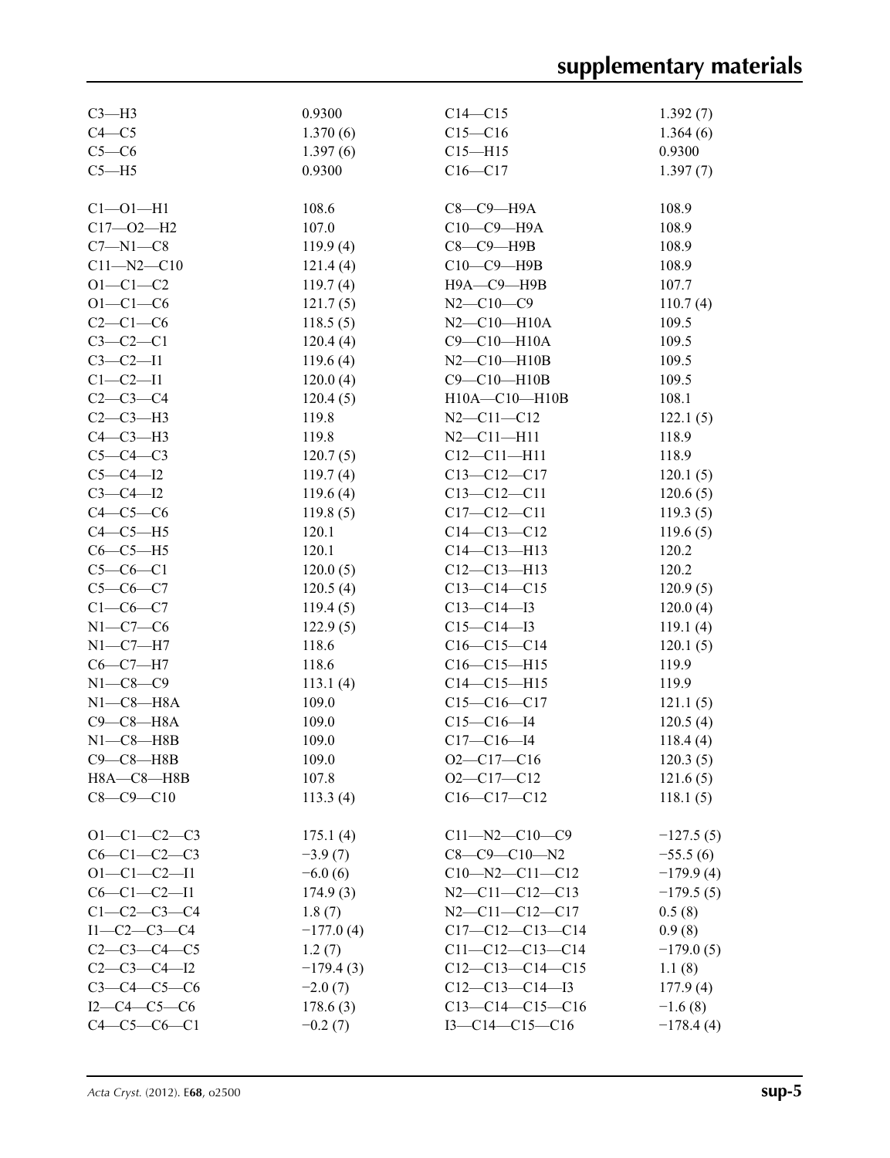| $C3-H3$             | 0.9300      | $C14 - C15$            | 1.392(7)    |
|---------------------|-------------|------------------------|-------------|
| $C4 - C5$           | 1.370(6)    | $C15 - C16$            | 1.364(6)    |
| $C5-C6$             | 1.397(6)    | $C15 - H15$            | 0.9300      |
| $C5 - H5$           | 0.9300      | $C16 - C17$            | 1.397(7)    |
|                     |             |                        |             |
| $Cl - O1 - H1$      | 108.6       | $C8-C9-H9A$            | 108.9       |
| $C17 - O2 - H2$     | 107.0       | $C10-C9-H9A$           | 108.9       |
| $C7 - N1 - C8$      | 119.9(4)    | $C8-C9$ -H9B           | 108.9       |
| $C11 - N2 - C10$    | 121.4(4)    | $C10-C9-$ H9B          | 108.9       |
| $O1 - C1 - C2$      | 119.7(4)    | Н9А-С9-Н9В             | 107.7       |
| $O1 - C1 - C6$      | 121.7(5)    | $N2 - C10 - C9$        | 110.7(4)    |
| $C2-C1-C6$          | 118.5(5)    | $N2 - C10 - H10A$      | 109.5       |
| $C3-C2-C1$          | 120.4(4)    | $C9 - C10 - H10A$      | 109.5       |
| $C3 - C2 - I1$      | 119.6(4)    | $N2 - C10 - H10B$      | 109.5       |
| $C1 - C2 - I1$      | 120.0(4)    | $C9 - C10 - H10B$      | 109.5       |
| $C2 - C3 - C4$      | 120.4(5)    | H10A-C10-H10B          | 108.1       |
| $C2-C3-H3$          | 119.8       | $N2 - C11 - C12$       | 122.1(5)    |
| $C4-C3-H3$          | 119.8       | $N2 - C11 - H11$       | 118.9       |
| $C5-C4-C3$          | 120.7(5)    | $C12 - C11 - H11$      | 118.9       |
| $C5 - C4 - I2$      | 119.7(4)    | $C13 - C12 - C17$      | 120.1(5)    |
| $C3 - C4 - I2$      | 119.6(4)    | $C13 - C12 - C11$      | 120.6(5)    |
| $C4-C5-C6$          | 119.8(5)    | $C17 - C12 - C11$      | 119.3(5)    |
| $C4-C5-H5$          | 120.1       | $C14 - C13 - C12$      | 119.6(5)    |
| $C6-C5-H5$          | 120.1       | $C14 - C13 - H13$      | 120.2       |
| $C5-C6-C1$          | 120.0(5)    | $C12 - C13 - H13$      | 120.2       |
| $C5 - C6 - C7$      | 120.5(4)    | $C13-C14-C15$          | 120.9(5)    |
| $C1-C6-C7$          | 119.4(5)    | $C13-C14-I3$           | 120.0(4)    |
| $N1-C7-C6$          | 122.9(5)    | $C15 - C14 - I3$       | 119.1(4)    |
| $N1-C7-H7$          | 118.6       | $C16-C15-C14$          | 120.1(5)    |
| $C6 - C7 - H7$      | 118.6       | $C16-C15-H15$          | 119.9       |
| $N1 - C8 - C9$      | 113.1(4)    | $C14 - C15 - H15$      | 119.9       |
| $N1-C8-H8A$         | 109.0       | $C15-C16-C17$          | 121.1(5)    |
| $C9-C8-H8A$         | 109.0       | $C15-C16-14$           | 120.5(4)    |
| $N1-C8 - H8B$       | 109.0       | $C17 - C16 - I4$       | 118.4(4)    |
| $C9 - C8 - H8B$     | 109.0       | $O2 - C17 - C16$       | 120.3(5)    |
| H8A-C8-H8B          | 107.8       | $O2-C17-C12$           | 121.6(5)    |
| $C8 - C9 - C10$     | 113.3(4)    | $C16-C17-C12$          | 118.1(5)    |
|                     |             |                        |             |
| $O1 - C1 - C2 - C3$ | 175.1(4)    | $C11 - N2 - C10 - C9$  | $-127.5(5)$ |
| $C6-C1-C2-C3$       | $-3.9(7)$   | $C8-C9-C10-N2$         | $-55.5(6)$  |
| $O1 - C1 - C2 - I1$ | $-6.0(6)$   | $C10 - N2 - C11 - C12$ | $-179.9(4)$ |
| $C6 - C1 - C2 - I1$ | 174.9(3)    | $N2 - C11 - C12 - C13$ | $-179.5(5)$ |
| $C1 - C2 - C3 - C4$ | 1.8(7)      | $N2-C11-C12-C17$       | 0.5(8)      |
| $I1-C2-C3-C4$       | $-177.0(4)$ | $C17-C12-C13-C14$      | 0.9(8)      |
| $C2 - C3 - C4 - C5$ | 1.2(7)      | $C11-C12-C13-C14$      | $-179.0(5)$ |
| $C2-C3-C4-I2$       | $-179.4(3)$ | $C12-C13-C14-C15$      | 1.1(8)      |
| $C3 - C4 - C5 - C6$ | $-2.0(7)$   | $C12-C13-C14-I3$       | 177.9(4)    |
| $I2-C4-C5-C6$       | 178.6(3)    | $C13-C14-C15-C16$      | $-1.6(8)$   |
| $C4 - C5 - C6 - C1$ | $-0.2(7)$   | $I3-C14-C15-C16$       | $-178.4(4)$ |
|                     |             |                        |             |